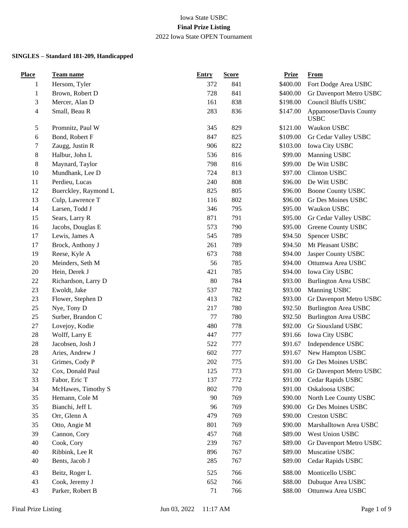| <b>Place</b>   | Team name            | <b>Entry</b> | <b>Score</b> | <b>Prize</b> | <b>From</b>                           |
|----------------|----------------------|--------------|--------------|--------------|---------------------------------------|
| 1              | Hersom, Tyler        | 372          | 841          | \$400.00     | Fort Dodge Area USBC                  |
| $\mathbf{1}$   | Brown, Robert D      | 728          | 841          | \$400.00     | Gr Davenport Metro USBC               |
| 3              | Mercer, Alan D       | 161          | 838          | \$198.00     | <b>Council Bluffs USBC</b>            |
| $\overline{4}$ | Small, Beau R        | 283          | 836          | \$147.00     | Appanoose/Davis County<br><b>USBC</b> |
| $\mathfrak{S}$ | Promnitz, Paul W     | 345          | 829          | \$121.00     | Waukon USBC                           |
| $\sqrt{6}$     | Bond, Robert F       | 847          | 825          | \$109.00     | Gr Cedar Valley USBC                  |
| 7              | Zaugg, Justin R      | 906          | 822          | \$103.00     | Iowa City USBC                        |
| $\,8$          | Halbur, John L       | 536          | 816          | \$99.00      | Manning USBC                          |
| $\,8$          | Maynard, Taylor      | 798          | 816          | \$99.00      | De Witt USBC                          |
| 10             | Mundhank, Lee D      | 724          | 813          | \$97.00      | Clinton USBC                          |
| 11             | Perdieu, Lucas       | 240          | 808          | \$96.00      | De Witt USBC                          |
| 12             | Buerckley, Raymond L | 825          | 805          | \$96.00      | <b>Boone County USBC</b>              |
| 13             | Culp, Lawrence T     | 116          | 802          | \$96.00      | Gr Des Moines USBC                    |
| 14             | Larsen, Todd J       | 346          | 795          | \$95.00      | Waukon USBC                           |
| 15             | Sears, Larry R       | 871          | 791          | \$95.00      | Gr Cedar Valley USBC                  |
| 16             | Jacobs, Douglas E    | 573          | 790          | \$95.00      | Greene County USBC                    |
| 17             | Lewis, James A       | 545          | 789          | \$94.50      | Spencer USBC                          |
| 17             | Brock, Anthony J     | 261          | 789          | \$94.50      | Mt Pleasant USBC                      |
| 19             | Reese, Kyle A        | 673          | 788          | \$94.00      | Jasper County USBC                    |
| $20\,$         | Meinders, Seth M     | 56           | 785          | \$94.00      | Ottumwa Area USBC                     |
| $20\,$         | Hein, Derek J        | 421          | 785          | \$94.00      | Iowa City USBC                        |
| 22             | Richardson, Larry D  | 80           | 784          | \$93.00      | <b>Burlington Area USBC</b>           |
| 23             | Ewoldt, Jake         | 537          | 782          | \$93.00      | Manning USBC                          |
| 23             | Flower, Stephen D    | 413          | 782          | \$93.00      | Gr Davenport Metro USBC               |
| 25             | Nye, Tony D          | 217          | 780          | \$92.50      | <b>Burlington Area USBC</b>           |
| 25             | Surber, Brandon C    | 77           | 780          | \$92.50      | <b>Burlington Area USBC</b>           |
| 27             | Lovejoy, Kodie       | 480          | 778          | \$92.00      | Gr Siouxland USBC                     |
| $28\,$         | Wolff, Larry E       | 447          | 777          | \$91.66      | Iowa City USBC                        |
| $28\,$         | Jacobsen, Josh J     | 522          | 777          | \$91.67      | Independence USBC                     |
| $28\,$         | Aries, Andrew J      | 602          | 777          | \$91.67      | New Hampton USBC                      |
| 31             | Grimes, Cody P       | 202          | 775          | \$91.00      | Gr Des Moines USBC                    |
| 32             | Cox, Donald Paul     | 125          | 773          | \$91.00      | Gr Davenport Metro USBC               |
| 33             | Fabor, Eric T        | 137          | 772          | \$91.00      | Cedar Rapids USBC                     |
| 34             | McHawes, Timothy S   | 802          | 770          | \$91.00      | Oskaloosa USBC                        |
| 35             | Hemann, Cole M       | 90           | 769          | \$90.00      | North Lee County USBC                 |
| 35             | Bianchi, Jeff L      | 96           | 769          | \$90.00      | Gr Des Moines USBC                    |
| 35             | Orr, Glenn A         | 479          | 769          | \$90.00      | <b>Creston USBC</b>                   |
| 35             | Otto, Angie M        | 801          | 769          | \$90.00      | Marshalltown Area USBC                |
| 39             | Cannon, Cory         | 457          | 768          | \$89.00      | West Union USBC                       |
| 40             | Cook, Cory           | 239          | 767          | \$89.00      | Gr Davenport Metro USBC               |
| 40             | Ribbink, Lee R       | 896          | 767          | \$89.00      | Muscatine USBC                        |
| 40             | Bents, Jacob J       | 285          | 767          | \$89.00      | Cedar Rapids USBC                     |
| 43             | Beitz, Roger L       | 525          | 766          | \$88.00      | Monticello USBC                       |
| 43             | Cook, Jeremy J       | 652          | 766          | \$88.00      | Dubuque Area USBC                     |
| 43             | Parker, Robert B     | 71           | 766          | \$88.00      | Ottumwa Area USBC                     |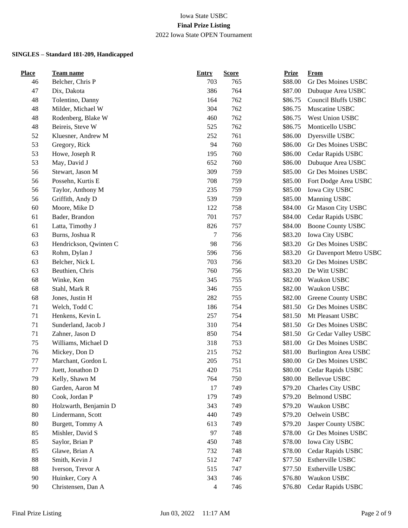| <b>Place</b> | Team name              | <b>Entry</b>             | <b>Score</b> | <b>Prize</b> | From                        |
|--------------|------------------------|--------------------------|--------------|--------------|-----------------------------|
| 46           | Belcher, Chris P       | 703                      | 765          | \$88.00      | Gr Des Moines USBC          |
| 47           | Dix, Dakota            | 386                      | 764          | \$87.00      | Dubuque Area USBC           |
| 48           | Tolentino, Danny       | 164                      | 762          | \$86.75      | Council Bluffs USBC         |
| 48           | Milder, Michael W      | 304                      | 762          | \$86.75      | Muscatine USBC              |
| 48           | Rodenberg, Blake W     | 460                      | 762          | \$86.75      | West Union USBC             |
| 48           | Beireis, Steve W       | 525                      | 762          | \$86.75      | Monticello USBC             |
| 52           | Kluesner, Andrew M     | 252                      | 761          | \$86.00      | Dyersville USBC             |
| 53           | Gregory, Rick          | 94                       | 760          | \$86.00      | Gr Des Moines USBC          |
| 53           | Howe, Joseph R         | 195                      | 760          | \$86.00      | Cedar Rapids USBC           |
| 53           | May, David J           | 652                      | 760          | \$86.00      | Dubuque Area USBC           |
| 56           | Stewart, Jason M       | 309                      | 759          | \$85.00      | Gr Des Moines USBC          |
| 56           | Possehn, Kurtis E      | 708                      | 759          | \$85.00      | Fort Dodge Area USBC        |
| 56           | Taylor, Anthony M      | 235                      | 759          | \$85.00      | Iowa City USBC              |
| 56           | Griffith, Andy D       | 539                      | 759          | \$85.00      | Manning USBC                |
| 60           | Moore, Mike D          | 122                      | 758          | \$84.00      | Gr Mason City USBC          |
| 61           | Bader, Brandon         | 701                      | 757          | \$84.00      | Cedar Rapids USBC           |
| 61           | Latta, Timothy J       | 826                      | 757          | \$84.00      | <b>Boone County USBC</b>    |
| 63           | Burns, Joshua R        | $\boldsymbol{7}$         | 756          | \$83.20      | Iowa City USBC              |
| 63           | Hendrickson, Qwinten C | 98                       | 756          | \$83.20      | Gr Des Moines USBC          |
| 63           | Rohm, Dylan J          | 596                      | 756          | \$83.20      | Gr Davenport Metro USBC     |
| 63           | Belcher, Nick L        | 703                      | 756          | \$83.20      | Gr Des Moines USBC          |
| 63           | Beuthien, Chris        | 760                      | 756          | \$83.20      | De Witt USBC                |
| 68           | Winke, Ken             | 345                      | 755          | \$82.00      | Waukon USBC                 |
| 68           | Stahl, Mark R          | 346                      | 755          | \$82.00      | Waukon USBC                 |
| 68           | Jones, Justin H        | 282                      | 755          | \$82.00      | Greene County USBC          |
| 71           | Welch, Todd C          | 186                      | 754          | \$81.50      | Gr Des Moines USBC          |
| 71           | Henkens, Kevin L       | 257                      | 754          | \$81.50      | Mt Pleasant USBC            |
| 71           | Sunderland, Jacob J    | 310                      | 754          | \$81.50      | Gr Des Moines USBC          |
| 71           | Zahner, Jason D        | 850                      | 754          | \$81.50      | Gr Cedar Valley USBC        |
| 75           | Williams, Michael D    | 318                      | 753          | \$81.00      | Gr Des Moines USBC          |
| 76           | Mickey, Don D          | 215                      | 752          | \$81.00      | <b>Burlington Area USBC</b> |
| 77           | Marchant, Gordon L     | 205                      | 751          | \$80.00      | Gr Des Moines USBC          |
| 77           | Juett, Jonathon D      | 420                      | 751          | \$80.00      | Cedar Rapids USBC           |
| 79           | Kelly, Shawn M         | 764                      | 750          | \$80.00      | Bellevue USBC               |
| 80           | Garden, Aaron M        | 17                       | 749          | \$79.20      | Charles City USBC           |
| 80           | Cook, Jordan P         | 179                      | 749          | \$79.20      | <b>Belmond USBC</b>         |
| 80           | Holzwarth, Benjamin D  | 343                      | 749          | \$79.20      | Waukon USBC                 |
| 80           | Lindermann, Scott      | 440                      | 749          | \$79.20      | Oelwein USBC                |
| 80           | Burgett, Tommy A       | 613                      | 749          | \$79.20      | Jasper County USBC          |
| 85           | Mishler, David S       | 97                       | 748          | \$78.00      | <b>Gr Des Moines USBC</b>   |
| 85           | Saylor, Brian P        | 450                      | 748          | \$78.00      | Iowa City USBC              |
| 85           | Glawe, Brian A         | 732                      | 748          | \$78.00      | Cedar Rapids USBC           |
| 88           | Smith, Kevin J         | 512                      | 747          | \$77.50      | Estherville USBC            |
| 88           | Iverson, Trevor A      | 515                      | 747          | \$77.50      | Estherville USBC            |
| 90           | Huinker, Cory A        | 343                      | 746          | \$76.80      | Waukon USBC                 |
| 90           | Christensen, Dan A     | $\overline{\mathcal{A}}$ | 746          | \$76.80      | Cedar Rapids USBC           |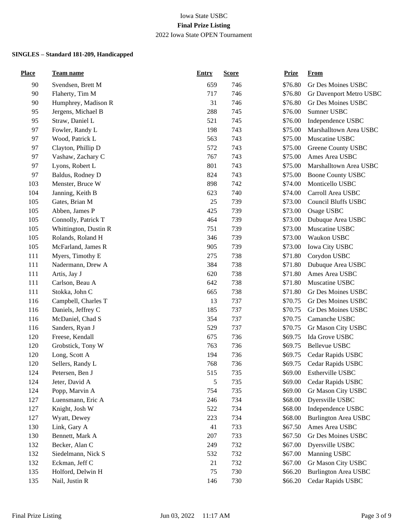| <b>Place</b> | Team name             | <b>Entry</b> | <b>Score</b> | <u>Prize</u> | From                        |
|--------------|-----------------------|--------------|--------------|--------------|-----------------------------|
| 90           | Svendsen, Brett M     | 659          | 746          | \$76.80      | Gr Des Moines USBC          |
| 90           | Flaherty, Tim M       | 717          | 746          | \$76.80      | Gr Davenport Metro USBC     |
| 90           | Humphrey, Madison R   | 31           | 746          | \$76.80      | Gr Des Moines USBC          |
| 95           | Jergens, Michael B    | 288          | 745          | \$76.00      | Sumner USBC                 |
| 95           | Straw, Daniel L       | 521          | 745          | \$76.00      | Independence USBC           |
| 97           | Fowler, Randy L       | 198          | 743          | \$75.00      | Marshalltown Area USBC      |
| 97           | Wood, Patrick L       | 563          | 743          | \$75.00      | Muscatine USBC              |
| 97           | Clayton, Phillip D    | 572          | 743          | \$75.00      | Greene County USBC          |
| 97           | Vashaw, Zachary C     | 767          | 743          | \$75.00      | Ames Area USBC              |
| 97           | Lyons, Robert L       | 801          | 743          | \$75.00      | Marshalltown Area USBC      |
| 97           | Baldus, Rodney D      | 824          | 743          | \$75.00      | <b>Boone County USBC</b>    |
| 103          | Menster, Bruce W      | 898          | 742          | \$74.00      | Monticello USBC             |
| 104          | Janning, Keith B      | 623          | 740          | \$74.00      | Carroll Area USBC           |
| 105          | Gates, Brian M        | 25           | 739          | \$73.00      | <b>Council Bluffs USBC</b>  |
| 105          | Abben, James P        | 425          | 739          | \$73.00      | Osage USBC                  |
| 105          | Connolly, Patrick T   | 464          | 739          | \$73.00      | Dubuque Area USBC           |
| 105          | Whittington, Dustin R | 751          | 739          | \$73.00      | Muscatine USBC              |
| 105          | Rolands, Roland H     | 346          | 739          | \$73.00      | Waukon USBC                 |
| 105          | McFarland, James R    | 905          | 739          | \$73.00      | Iowa City USBC              |
| 111          | Myers, Timothy E      | 275          | 738          | \$71.80      | Corydon USBC                |
| 111          | Nadermann, Drew A     | 384          | 738          | \$71.80      | Dubuque Area USBC           |
| 111          | Artis, Jay J          | 620          | 738          | \$71.80      | Ames Area USBC              |
| 111          | Carlson, Beau A       | 642          | 738          | \$71.80      | Muscatine USBC              |
| 111          | Stokka, John C        | 665          | 738          | \$71.80      | Gr Des Moines USBC          |
| 116          | Campbell, Charles T   | 13           | 737          | \$70.75      | Gr Des Moines USBC          |
| 116          | Daniels, Jeffrey C    | 185          | 737          | \$70.75      | Gr Des Moines USBC          |
| 116          | McDaniel, Chad S      | 354          | 737          | \$70.75      | Camanche USBC               |
| 116          | Sanders, Ryan J       | 529          | 737          | \$70.75      | Gr Mason City USBC          |
| 120          | Freese, Kendall       | 675          | 736          | \$69.75      | Ida Grove USBC              |
| 120          | Grobstick, Tony W     | 763          | 736          | \$69.75      | Bellevue USBC               |
| 120          | Long, Scott A         | 194          | 736          | \$69.75      | Cedar Rapids USBC           |
| 120          | Sellers, Randy L      | 768          | 736          | \$69.75      | Cedar Rapids USBC           |
| 124          | Petersen, Ben J       | 515          | 735          | \$69.00      | Estherville USBC            |
| 124          | Jeter, David A        | 5            | 735          | \$69.00      | Cedar Rapids USBC           |
| 124          | Popp, Marvin A        | 754          | 735          | \$69.00      | Gr Mason City USBC          |
| 127          | Luensmann, Eric A     | 246          | 734          | \$68.00      | Dyersville USBC             |
| 127          | Knight, Josh W        | 522          | 734          | \$68.00      | Independence USBC           |
| 127          | Wyatt, Dewey          | 223          | 734          | \$68.00      | <b>Burlington Area USBC</b> |
| 130          | Link, Gary A          | 41           | 733          | \$67.50      | Ames Area USBC              |
| 130          | Bennett, Mark A       | 207          | 733          | \$67.50      | Gr Des Moines USBC          |
| 132          | Becker, Alan C        | 249          | 732          | \$67.00      | Dyersville USBC             |
| 132          | Siedelmann, Nick S    | 532          | 732          | \$67.00      | Manning USBC                |
| 132          | Eckman, Jeff C        | 21           | 732          | \$67.00      | Gr Mason City USBC          |
| 135          | Holford, Delwin H     | 75           | 730          | \$66.20      | Burlington Area USBC        |
| 135          | Nail, Justin R        | 146          | 730          | \$66.20      | Cedar Rapids USBC           |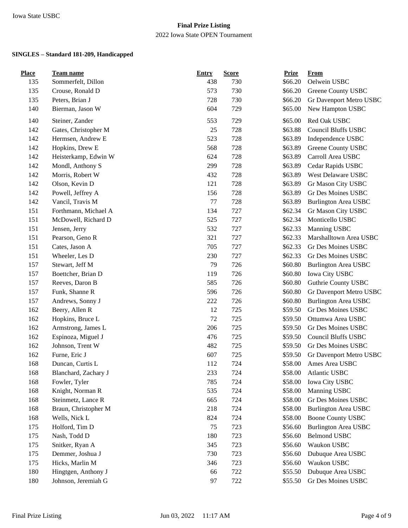### **Final Prize Listing** 2022 Iowa State OPEN Tournament

| <b>Place</b> | Team name            | <b>Entry</b> | <b>Score</b> | <b>Prize</b> | From                        |
|--------------|----------------------|--------------|--------------|--------------|-----------------------------|
| 135          | Sommerfelt, Dillon   | 438          | 730          | \$66.20      | Oelwein USBC                |
| 135          | Crouse, Ronald D     | 573          | 730          | \$66.20      | Greene County USBC          |
| 135          | Peters, Brian J      | 728          | 730          | \$66.20      | Gr Davenport Metro USBC     |
| 140          | Bierman, Jason W     | 604          | 729          | \$65.00      | New Hampton USBC            |
| 140          | Steiner, Zander      | 553          | 729          | \$65.00      | Red Oak USBC                |
| 142          | Gates, Christopher M | 25           | 728          | \$63.88      | <b>Council Bluffs USBC</b>  |
| 142          | Hermsen, Andrew E    | 523          | 728          | \$63.89      | Independence USBC           |
| 142          | Hopkins, Drew E      | 568          | 728          | \$63.89      | Greene County USBC          |
| 142          | Heisterkamp, Edwin W | 624          | 728          | \$63.89      | Carroll Area USBC           |
| 142          | Mondl, Anthony S     | 299          | 728          | \$63.89      | Cedar Rapids USBC           |
| 142          | Morris, Robert W     | 432          | 728          | \$63.89      | West Delaware USBC          |
| 142          | Olson, Kevin D       | 121          | 728          | \$63.89      | Gr Mason City USBC          |
| 142          | Powell, Jeffrey A    | 156          | 728          | \$63.89      | Gr Des Moines USBC          |
| 142          | Vancil, Travis M     | 77           | 728          | \$63.89      | <b>Burlington Area USBC</b> |
| 151          | Forthmann, Michael A | 134          | 727          | \$62.34      | Gr Mason City USBC          |
| 151          | McDowell, Richard D  | 525          | 727          | \$62.34      | Monticello USBC             |
| 151          | Jensen, Jerry        | 532          | 727          | \$62.33      | Manning USBC                |
| 151          | Pearson, Geno R      | 321          | 727          | \$62.33      | Marshalltown Area USBC      |
| 151          | Cates, Jason A       | 705          | 727          | \$62.33      | Gr Des Moines USBC          |
| 151          | Wheeler, Les D       | 230          | 727          | \$62.33      | Gr Des Moines USBC          |
| 157          | Stewart, Jeff M      | 79           | 726          | \$60.80      | <b>Burlington Area USBC</b> |
| 157          | Boettcher, Brian D   | 119          | 726          | \$60.80      | Iowa City USBC              |
| 157          | Reeves, Daron B      | 585          | 726          | \$60.80      | Guthrie County USBC         |
| 157          | Funk, Shanne R       | 596          | 726          | \$60.80      | Gr Davenport Metro USBC     |
| 157          | Andrews, Sonny J     | 222          | 726          | \$60.80      | <b>Burlington Area USBC</b> |
| 162          | Beery, Allen R       | 12           | 725          | \$59.50      | Gr Des Moines USBC          |
| 162          | Hopkins, Bruce L     | 72           | 725          | \$59.50      | Ottumwa Area USBC           |
| 162          | Armstrong, James L   | 206          | 725          | \$59.50      | Gr Des Moines USBC          |
| 162          | Espinoza, Miguel J   | 476          | 725          | \$59.50      | <b>Council Bluffs USBC</b>  |
| 162          | Johnson, Trent W     | 482          | 725          | \$59.50      | Gr Des Moines USBC          |
| 162          | Furne, Eric J        | 607          | 725          | \$59.50      | Gr Davenport Metro USBC     |
| 168          | Duncan, Curtis L     | 112          | 724          | \$58.00      | Ames Area USBC              |
| 168          | Blanchard, Zachary J | 233          | 724          | \$58.00      | Atlantic USBC               |
| 168          | Fowler, Tyler        | 785          | 724          | \$58.00      | Iowa City USBC              |
| 168          | Knight, Norman R     | 535          | 724          | \$58.00      | Manning USBC                |
| 168          | Steinmetz, Lance R   | 665          | 724          | \$58.00      | Gr Des Moines USBC          |
| 168          | Braun, Christopher M | 218          | 724          | \$58.00      | <b>Burlington Area USBC</b> |
| 168          | Wells, Nick L        | 824          | 724          | \$58.00      | <b>Boone County USBC</b>    |
| 175          | Holford, Tim D       | 75           | 723          | \$56.60      | <b>Burlington Area USBC</b> |
| 175          | Nash, Todd D         | 180          | 723          | \$56.60      | Belmond USBC                |
| 175          | Snitker, Ryan A      | 345          | 723          | \$56.60      | Waukon USBC                 |
| 175          | Demmer, Joshua J     | 730          | 723          | \$56.60      | Dubuque Area USBC           |
| 175          | Hicks, Marlin M      | 346          | 723          | \$56.60      | Waukon USBC                 |
| 180          | Hingtgen, Anthony J  | 66           | 722          | \$55.50      | Dubuque Area USBC           |
| 180          | Johnson, Jeremiah G  | 97           | 722          | \$55.50      | Gr Des Moines USBC          |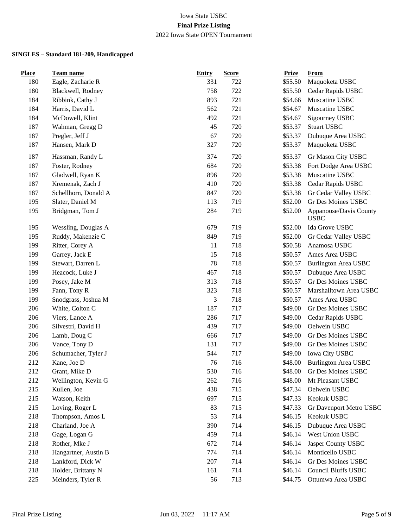| <b>Place</b> | <b>Team name</b>     | <b>Entry</b> | <b>Score</b> | <b>Prize</b> | <b>From</b>                           |
|--------------|----------------------|--------------|--------------|--------------|---------------------------------------|
| 180          | Eagle, Zacharie R    | 331          | 722          | \$55.50      | Maquoketa USBC                        |
| 180          | Blackwell, Rodney    | 758          | 722          | \$55.50      | Cedar Rapids USBC                     |
| 184          | Ribbink, Cathy J     | 893          | 721          | \$54.66      | Muscatine USBC                        |
| 184          | Harris, David L      | 562          | 721          | \$54.67      | Muscatine USBC                        |
| 184          | McDowell, Klint      | 492          | 721          | \$54.67      | Sigourney USBC                        |
| 187          | Wahman, Gregg D      | 45           | 720          | \$53.37      | <b>Stuart USBC</b>                    |
| 187          | Pregler, Jeff J      | 67           | 720          | \$53.37      | Dubuque Area USBC                     |
| 187          | Hansen, Mark D       | 327          | 720          | \$53.37      | Maquoketa USBC                        |
| 187          | Hassman, Randy L     | 374          | 720          | \$53.37      | Gr Mason City USBC                    |
| 187          | Foster, Rodney       | 684          | 720          | \$53.38      | Fort Dodge Area USBC                  |
| 187          | Gladwell, Ryan K     | 896          | 720          | \$53.38      | Muscatine USBC                        |
| 187          | Kremenak, Zach J     | 410          | 720          | \$53.38      | Cedar Rapids USBC                     |
| 187          | Schellhorn, Donald A | 847          | 720          | \$53.38      | Gr Cedar Valley USBC                  |
| 195          | Slater, Daniel M     | 113          | 719          | \$52.00      | Gr Des Moines USBC                    |
| 195          | Bridgman, Tom J      | 284          | 719          | \$52.00      | Appanoose/Davis County<br><b>USBC</b> |
| 195          | Wessling, Douglas A  | 679          | 719          | \$52.00      | Ida Grove USBC                        |
| 195          | Ruddy, Makenzie C    | 849          | 719          | \$52.00      | Gr Cedar Valley USBC                  |
| 199          | Ritter, Corey A      | 11           | 718          | \$50.58      | Anamosa USBC                          |
| 199          | Garrey, Jack E       | 15           | 718          | \$50.57      | Ames Area USBC                        |
| 199          | Stewart, Darren L    | 78           | 718          | \$50.57      | <b>Burlington Area USBC</b>           |
| 199          | Heacock, Luke J      | 467          | 718          | \$50.57      | Dubuque Area USBC                     |
| 199          | Posey, Jake M        | 313          | 718          | \$50.57      | Gr Des Moines USBC                    |
| 199          | Fann, Tony R         | 323          | 718          | \$50.57      | Marshalltown Area USBC                |
| 199          | Snodgrass, Joshua M  | 3            | 718          | \$50.57      | Ames Area USBC                        |
| 206          | White, Colton C      | 187          | 717          | \$49.00      | Gr Des Moines USBC                    |
| 206          | Viers, Lance A       | 286          | 717          | \$49.00      | Cedar Rapids USBC                     |
| 206          | Silvestri, David H   | 439          | 717          | \$49.00      | Oelwein USBC                          |
| 206          | Lamb, Doug C         | 666          | 717          | \$49.00      | Gr Des Moines USBC                    |
| 206          | Vance, Tony D        | 131          | 717          | \$49.00      | Gr Des Moines USBC                    |
| 206          | Schumacher, Tyler J  | 544          | 717          | \$49.00      | Iowa City USBC                        |
| 212          | Kane, Joe D          | 76           | 716          | \$48.00      | <b>Burlington Area USBC</b>           |
| 212          | Grant, Mike D        | 530          | 716          | \$48.00      | Gr Des Moines USBC                    |
| 212          | Wellington, Kevin G  | 262          | 716          | \$48.00      | Mt Pleasant USBC                      |
| 215          | Kullen, Joe          | 438          | 715          | \$47.34      | Oelwein USBC                          |
| 215          | Watson, Keith        | 697          | 715          | \$47.33      | Keokuk USBC                           |
| 215          | Loving, Roger L      | 83           | 715          | \$47.33      | Gr Davenport Metro USBC               |
| 218          | Thompson, Amos L     | 53           | 714          | \$46.15      | Keokuk USBC                           |
| 218          | Charland, Joe A      | 390          | 714          | \$46.15      | Dubuque Area USBC                     |
| 218          | Gage, Logan G        | 459          | 714          | \$46.14      | West Union USBC                       |
| 218          | Rother, Mke J        | 672          | 714          | \$46.14      | Jasper County USBC                    |
| 218          | Hangartner, Austin B | 774          | 714          | \$46.14      | Monticello USBC                       |
| 218          | Lankford, Dick W     | 207          | 714          | \$46.14      | Gr Des Moines USBC                    |
| 218          | Holder, Brittany N   | 161          | 714          | \$46.14      | <b>Council Bluffs USBC</b>            |
| 225          | Meinders, Tyler R    | 56           | 713          | \$44.75      | Ottumwa Area USBC                     |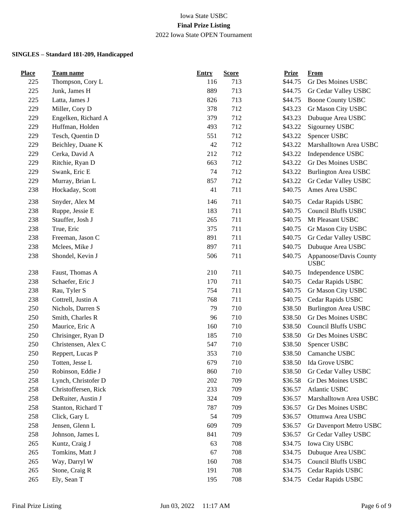| <b>Place</b> | <b>Team name</b>     | <b>Entry</b> | <b>Score</b> | <b>Prize</b> | <b>From</b>                           |
|--------------|----------------------|--------------|--------------|--------------|---------------------------------------|
| 225          | Thompson, Cory L     | 116          | 713          | \$44.75      | Gr Des Moines USBC                    |
| 225          | Junk, James H        | 889          | 713          | \$44.75      | Gr Cedar Valley USBC                  |
| 225          | Latta, James J       | 826          | 713          | \$44.75      | <b>Boone County USBC</b>              |
| 229          | Miller, Cory D       | 378          | 712          | \$43.23      | Gr Mason City USBC                    |
| 229          | Engelken, Richard A  | 379          | 712          | \$43.23      | Dubuque Area USBC                     |
| 229          | Huffman, Holden      | 493          | 712          | \$43.22      | Sigourney USBC                        |
| 229          | Tesch, Quentin D     | 551          | 712          | \$43.22      | Spencer USBC                          |
| 229          | Beichley, Duane K    | 42           | 712          | \$43.22      | Marshalltown Area USBC                |
| 229          | Cerka, David A       | 212          | 712          | \$43.22      | Independence USBC                     |
| 229          | Ritchie, Ryan D      | 663          | 712          | \$43.22      | Gr Des Moines USBC                    |
| 229          | Swank, Eric E        | 74           | 712          | \$43.22      | <b>Burlington Area USBC</b>           |
| 229          | Murray, Brian L      | 857          | 712          | \$43.22      | Gr Cedar Valley USBC                  |
| 238          | Hockaday, Scott      | 41           | 711          | \$40.75      | Ames Area USBC                        |
| 238          | Snyder, Alex M       | 146          | 711          | \$40.75      | Cedar Rapids USBC                     |
| 238          | Ruppe, Jessie E      | 183          | 711          | \$40.75      | <b>Council Bluffs USBC</b>            |
| 238          | Stauffer, Josh J     | 265          | 711          | \$40.75      | Mt Pleasant USBC                      |
| 238          | True, Eric           | 375          | 711          | \$40.75      | Gr Mason City USBC                    |
| 238          | Freeman, Jason C     | 891          | 711          | \$40.75      | Gr Cedar Valley USBC                  |
| 238          | Mclees, Mike J       | 897          | 711          | \$40.75      | Dubuque Area USBC                     |
| 238          | Shondel, Kevin J     | 506          | 711          | \$40.75      | Appanoose/Davis County<br><b>USBC</b> |
| 238          | Faust, Thomas A      | 210          | 711          | \$40.75      | Independence USBC                     |
| 238          | Schaefer, Eric J     | 170          | 711          | \$40.75      | Cedar Rapids USBC                     |
| 238          | Rau, Tyler S         | 754          | 711          | \$40.75      | Gr Mason City USBC                    |
| 238          | Cottrell, Justin A   | 768          | 711          | \$40.75      | Cedar Rapids USBC                     |
| 250          | Nichols, Darren S    | 79           | 710          | \$38.50      | <b>Burlington Area USBC</b>           |
| 250          | Smith, Charles R     | 96           | 710          | \$38.50      | Gr Des Moines USBC                    |
| 250          | Maurice, Eric A      | 160          | 710          | \$38.50      | Council Bluffs USBC                   |
| 250          | Chrisinger, Ryan D   | 185          | 710          | \$38.50      | Gr Des Moines USBC                    |
| 250          | Christensen, Alex C  | 547          | 710          | \$38.50      | Spencer USBC                          |
| 250          | Reppert, Lucas P     | 353          | 710          | \$38.50      | Camanche USBC                         |
| 250          | Totten, Jesse L      | 679          | 710          | \$38.50      | Ida Grove USBC                        |
| 250          | Robinson, Eddie J    | 860          | 710          | \$38.50      | Gr Cedar Valley USBC                  |
| 258          | Lynch, Christofer D  | 202          | 709          | \$36.58      | Gr Des Moines USBC                    |
| 258          | Christoffersen, Rick | 233          | 709          | \$36.57      | Atlantic USBC                         |
| 258          | DeRuiter, Austin J   | 324          | 709          | \$36.57      | Marshalltown Area USBC                |
| 258          | Stanton, Richard T   | 787          | 709          | \$36.57      | Gr Des Moines USBC                    |
| 258          | Click, Gary L        | 54           | 709          | \$36.57      | Ottumwa Area USBC                     |
| 258          | Jensen, Glenn L      | 609          | 709          | \$36.57      | Gr Davenport Metro USBC               |
| 258          | Johnson, James L     | 841          | 709          | \$36.57      | Gr Cedar Valley USBC                  |
| 265          | Kuntz, Craig J       | 63           | 708          | \$34.75      | Iowa City USBC                        |
| 265          | Tomkins, Matt J      | 67           | 708          | \$34.75      | Dubuque Area USBC                     |
| 265          | Way, Darryl W        | 160          | 708          | \$34.75      | <b>Council Bluffs USBC</b>            |
| 265          | Stone, Craig R       | 191          | 708          | \$34.75      | Cedar Rapids USBC                     |
| 265          | Ely, Sean T          | 195          | 708          | \$34.75      | Cedar Rapids USBC                     |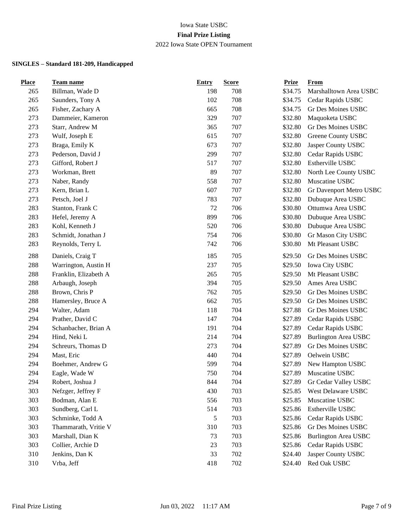| <b>Place</b> | Team name             | <b>Entry</b> | <b>Score</b> | <b>Prize</b> | From                        |
|--------------|-----------------------|--------------|--------------|--------------|-----------------------------|
| 265          | Billman, Wade D       | 198          | 708          | \$34.75      | Marshalltown Area USBC      |
| 265          | Saunders, Tony A      | 102          | 708          | \$34.75      | Cedar Rapids USBC           |
| 265          | Fisher, Zachary A     | 665          | 708          | \$34.75      | Gr Des Moines USBC          |
| 273          | Dammeier, Kameron     | 329          | 707          | \$32.80      | Maquoketa USBC              |
| 273          | Starr, Andrew M       | 365          | 707          | \$32.80      | Gr Des Moines USBC          |
| 273          | Wulf, Joseph E        | 615          | 707          | \$32.80      | Greene County USBC          |
| 273          | Braga, Emily K        | 673          | 707          | \$32.80      | Jasper County USBC          |
| 273          | Pederson, David J     | 299          | 707          | \$32.80      | Cedar Rapids USBC           |
| 273          | Gifford, Robert J     | 517          | 707          | \$32.80      | Estherville USBC            |
| 273          | Workman, Brett        | 89           | 707          | \$32.80      | North Lee County USBC       |
| 273          | Naber, Randy          | 558          | 707          | \$32.80      | Muscatine USBC              |
| 273          | Kern, Brian L         | 607          | 707          | \$32.80      | Gr Davenport Metro USBC     |
| 273          | Petsch, Joel J        | 783          | 707          | \$32.80      | Dubuque Area USBC           |
| 283          | Stanton, Frank C      | 72           | 706          | \$30.80      | Ottumwa Area USBC           |
| 283          | Hefel, Jeremy A       | 899          | 706          | \$30.80      | Dubuque Area USBC           |
| 283          | Kohl, Kenneth J       | 520          | 706          | \$30.80      | Dubuque Area USBC           |
| 283          | Schmidt, Jonathan J   | 754          | 706          | \$30.80      | Gr Mason City USBC          |
| 283          | Reynolds, Terry L     | 742          | 706          | \$30.80      | Mt Pleasant USBC            |
| 288          | Daniels, Craig T      | 185          | 705          | \$29.50      | Gr Des Moines USBC          |
| 288          | Warrington, Austin H  | 237          | 705          | \$29.50      | Iowa City USBC              |
| 288          | Franklin, Elizabeth A | 265          | 705          | \$29.50      | Mt Pleasant USBC            |
| 288          | Arbaugh, Joseph       | 394          | 705          | \$29.50      | Ames Area USBC              |
| 288          | Brown, Chris P        | 762          | 705          | \$29.50      | Gr Des Moines USBC          |
| 288          | Hamersley, Bruce A    | 662          | 705          | \$29.50      | Gr Des Moines USBC          |
| 294          | Walter, Adam          | 118          | 704          | \$27.88      | Gr Des Moines USBC          |
| 294          | Prather, David C      | 147          | 704          | \$27.89      | Cedar Rapids USBC           |
| 294          | Schanbacher, Brian A  | 191          | 704          | \$27.89      | Cedar Rapids USBC           |
| 294          | Hind, Neki L          | 214          | 704          | \$27.89      | <b>Burlington Area USBC</b> |
| 294          | Schreurs, Thomas D    | 273          | 704          | \$27.89      | Gr Des Moines USBC          |
| 294          | Mast, Eric            | 440          | 704          | \$27.89      | Oelwein USBC                |
| 294          | Boehmer, Andrew G     | 599          | 704          | \$27.89      | New Hampton USBC            |
| 294          | Eagle, Wade W         | 750          | 704          | \$27.89      | Muscatine USBC              |
| 294          | Robert, Joshua J      | 844          | 704          | \$27.89      | Gr Cedar Valley USBC        |
| 303          | Nefzger, Jeffrey F    | 430          | 703          | \$25.85      | <b>West Delaware USBC</b>   |
| 303          | Bodman, Alan E        | 556          | 703          | \$25.85      | Muscatine USBC              |
| 303          | Sundberg, Carl L      | 514          | 703          | \$25.86      | Estherville USBC            |
| 303          | Schminke, Todd A      | 5            | 703          | \$25.86      | Cedar Rapids USBC           |
| 303          | Thammarath, Vritie V  | 310          | 703          | \$25.86      | Gr Des Moines USBC          |
| 303          | Marshall, Dian K      | 73           | 703          | \$25.86      | <b>Burlington Area USBC</b> |
| 303          | Collier, Archie D     | 23           | 703          | \$25.86      | Cedar Rapids USBC           |
| 310          | Jenkins, Dan K        | 33           | 702          | \$24.40      | Jasper County USBC          |
| 310          | Vrba, Jeff            | 418          | 702          | \$24.40      | Red Oak USBC                |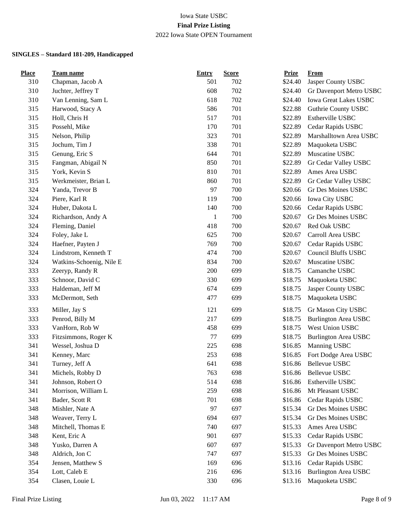| <b>Place</b> | <b>Team name</b>         | <b>Entry</b> | <b>Score</b> | <b>Prize</b> | <b>From</b>                 |
|--------------|--------------------------|--------------|--------------|--------------|-----------------------------|
| 310          | Chapman, Jacob A         | 501          | 702          | \$24.40      | Jasper County USBC          |
| 310          | Juchter, Jeffrey T       | 608          | 702          | \$24.40      | Gr Davenport Metro USBC     |
| 310          | Van Lenning, Sam L       | 618          | 702          | \$24.40      | Iowa Great Lakes USBC       |
| 315          | Harwood, Stacy A         | 586          | 701          | \$22.88      | Guthrie County USBC         |
| 315          | Holl, Chris H            | 517          | 701          | \$22.89      | Estherville USBC            |
| 315          | Possehl, Mike            | 170          | 701          | \$22.89      | Cedar Rapids USBC           |
| 315          | Nelson, Philip           | 323          | 701          | \$22.89      | Marshalltown Area USBC      |
| 315          | Jochum, Tim J            | 338          | 701          | \$22.89      | Maquoketa USBC              |
| 315          | Genung, Eric S           | 644          | 701          | \$22.89      | Muscatine USBC              |
| 315          | Fangman, Abigail N       | 850          | 701          | \$22.89      | Gr Cedar Valley USBC        |
| 315          | York, Kevin S            | 810          | 701          | \$22.89      | Ames Area USBC              |
| 315          | Werkmeister, Brian L     | 860          | 701          | \$22.89      | Gr Cedar Valley USBC        |
| 324          | Yanda, Trevor B          | 97           | 700          | \$20.66      | Gr Des Moines USBC          |
| 324          | Piere, Karl R            | 119          | 700          | \$20.66      | Iowa City USBC              |
| 324          | Huber, Dakota L          | 140          | 700          | \$20.66      | Cedar Rapids USBC           |
| 324          | Richardson, Andy A       | $\mathbf{1}$ | 700          | \$20.67      | Gr Des Moines USBC          |
| 324          | Fleming, Daniel          | 418          | 700          | \$20.67      | Red Oak USBC                |
| 324          | Foley, Jake L            | 625          | 700          | \$20.67      | Carroll Area USBC           |
| 324          | Haefner, Payten J        | 769          | 700          | \$20.67      | Cedar Rapids USBC           |
| 324          | Lindstrom, Kenneth T     | 474          | 700          | \$20.67      | <b>Council Bluffs USBC</b>  |
| 324          | Watkins-Schoenig, Nile E | 834          | 700          | \$20.67      | Muscatine USBC              |
| 333          | Zeeryp, Randy R          | 200          | 699          | \$18.75      | Camanche USBC               |
| 333          | Schnoor, David C         | 330          | 699          | \$18.75      | Maquoketa USBC              |
| 333          | Haldeman, Jeff M         | 674          | 699          | \$18.75      | Jasper County USBC          |
| 333          | McDermott, Seth          | 477          | 699          | \$18.75      | Maquoketa USBC              |
| 333          | Miller, Jay S            | 121          | 699          | \$18.75      | Gr Mason City USBC          |
| 333          | Penrod, Billy M          | 217          | 699          | \$18.75      | <b>Burlington Area USBC</b> |
| 333          | VanHorn, Rob W           | 458          | 699          | \$18.75      | West Union USBC             |
| 333          | Fitzsimmons, Roger K     | 77           | 699          | \$18.75      | <b>Burlington Area USBC</b> |
| 341          | Wessel, Joshua D         | 225          | 698          | \$16.85      | Manning USBC                |
| 341          | Kenney, Marc             | 253          | 698          | \$16.85      | Fort Dodge Area USBC        |
| 341          | Turney, Jeff A           | 641          | 698          | \$16.86      | <b>Bellevue USBC</b>        |
| 341          | Michels, Robby D         | 763          | 698          | \$16.86      | <b>Bellevue USBC</b>        |
| 341          | Johnson, Robert O        | 514          | 698          | \$16.86      | Estherville USBC            |
| 341          | Morrison, William L      | 259          | 698          | \$16.86      | Mt Pleasant USBC            |
| 341          | Bader, Scott R           | 701          | 698          | \$16.86      | Cedar Rapids USBC           |
| 348          | Mishler, Nate A          | 97           | 697          | \$15.34      | Gr Des Moines USBC          |
| 348          | Weaver, Terry L          | 694          | 697          | \$15.34      | Gr Des Moines USBC          |
| 348          | Mitchell, Thomas E       | 740          | 697          | \$15.33      | Ames Area USBC              |
| 348          | Kent, Eric A             | 901          | 697          | \$15.33      | Cedar Rapids USBC           |
| 348          | Yusko, Darren A          | 607          | 697          | \$15.33      | Gr Davenport Metro USBC     |
| 348          | Aldrich, Jon C           | 747          | 697          | \$15.33      | Gr Des Moines USBC          |
| 354          | Jensen, Matthew S        | 169          | 696          | \$13.16      | Cedar Rapids USBC           |
| 354          | Lott, Caleb E            | 216          | 696          | \$13.16      | <b>Burlington Area USBC</b> |
| 354          | Clasen, Louie L          | 330          | 696          | \$13.16      | Maquoketa USBC              |